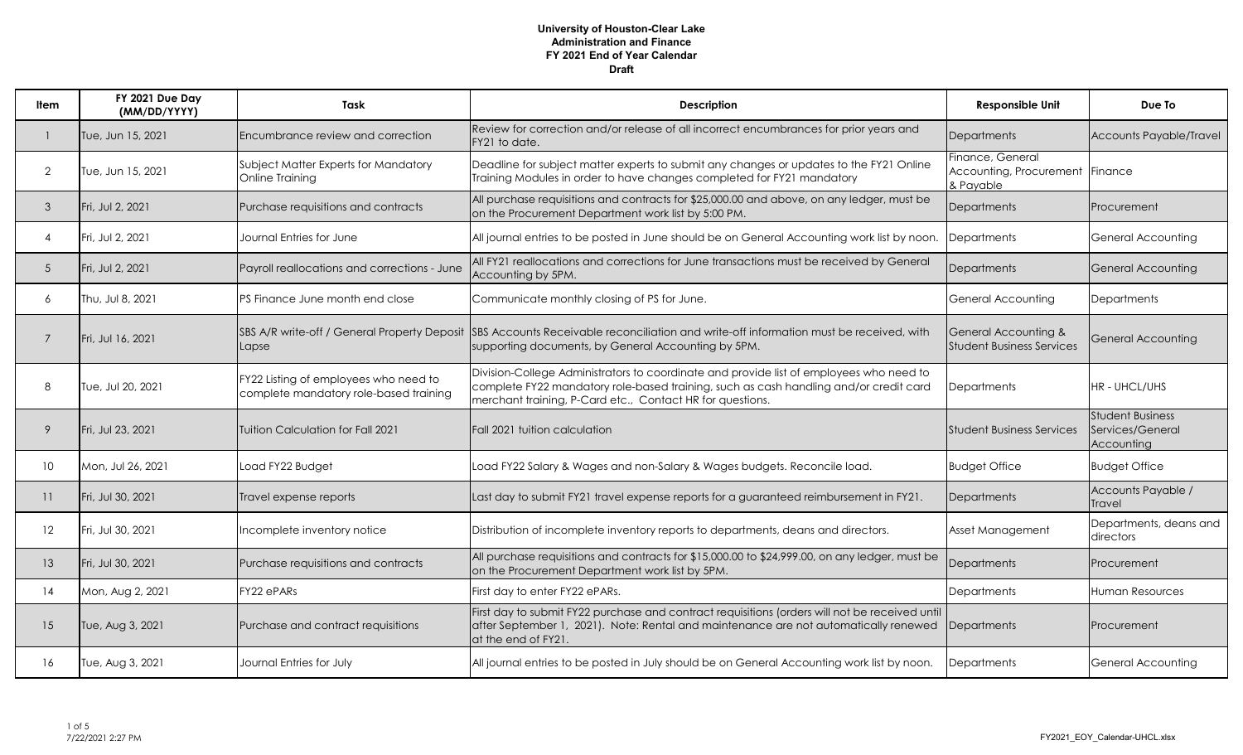| ltem            | FY 2021 Due Day<br>(MM/DD/YYYY) | Task                                                                            | <b>Description</b>                                                                                                                                                                                                                            | <b>Responsible Unit</b>                                          | Due To                                                    |
|-----------------|---------------------------------|---------------------------------------------------------------------------------|-----------------------------------------------------------------------------------------------------------------------------------------------------------------------------------------------------------------------------------------------|------------------------------------------------------------------|-----------------------------------------------------------|
|                 | Tue, Jun 15, 2021               | Encumbrance review and correction                                               | Review for correction and/or release of all incorrect encumbrances for prior years and<br>FY21 to date.                                                                                                                                       | Departments                                                      | Accounts Payable/Travel                                   |
| 2               | Tue, Jun 15, 2021               | Subject Matter Experts for Mandatory<br>Online Training                         | Deadline for subject matter experts to submit any changes or updates to the FY21 Online<br>Training Modules in order to have changes completed for FY21 mandatory                                                                             | Finance, General<br>Accounting, Procurement Finance<br>& Payable |                                                           |
| $\mathcal{S}$   | Fri, Jul 2, 2021                | Purchase requisitions and contracts                                             | All purchase requisitions and contracts for \$25,000.00 and above, on any ledger, must be<br>on the Procurement Department work list by 5:00 PM.                                                                                              | <b>Departments</b>                                               | Procurement                                               |
| $\overline{4}$  | Fri, Jul 2, 2021                | Journal Entries for June                                                        | All journal entries to be posted in June should be on General Accounting work list by noon.                                                                                                                                                   | <b>Departments</b>                                               | <b>General Accounting</b>                                 |
| 5               | Fri, Jul 2, 2021                | Payroll reallocations and corrections - June                                    | All FY21 reallocations and corrections for June transactions must be received by General<br>Accounting by 5PM.                                                                                                                                | <b>Departments</b>                                               | <b>General Accounting</b>                                 |
| 6               | Thu, Jul 8, 2021                | PS Finance June month end close                                                 | Communicate monthly closing of PS for June.                                                                                                                                                                                                   | General Accounting                                               | <b>Departments</b>                                        |
| 7               | Fri, Jul 16, 2021               | Lapse                                                                           | SBS A/R write-off / General Property Deposit SBS Accounts Receivable reconciliation and write-off information must be received, with<br>supporting documents, by General Accounting by 5PM.                                                   | General Accounting &<br><b>Student Business Services</b>         | General Accounting                                        |
| 8               | Tue, Jul 20, 2021               | FY22 Listing of employees who need to<br>complete mandatory role-based training | Division-College Administrators to coordinate and provide list of employees who need to<br>complete FY22 mandatory role-based training, such as cash handling and/or credit card<br>merchant training, P-Card etc., Contact HR for questions. | <b>Departments</b>                                               | HR - UHCL/UHS                                             |
| 9               | Fri, Jul 23, 2021               | Tuition Calculation for Fall 2021                                               | Fall 2021 tuition calculation                                                                                                                                                                                                                 | <b>Student Business Services</b>                                 | <b>Student Business</b><br>Services/General<br>Accounting |
| 10 <sup>°</sup> | Mon, Jul 26, 2021               | Load FY22 Budget                                                                | Load FY22 Salary & Wages and non-Salary & Wages budgets. Reconcile load.                                                                                                                                                                      | <b>Budget Office</b>                                             | <b>Budget Office</b>                                      |
| 11              | Fri, Jul 30, 2021               | Travel expense reports                                                          | Last day to submit FY21 travel expense reports for a guaranteed reimbursement in FY21.                                                                                                                                                        | Departments                                                      | Accounts Payable /<br><b>Travel</b>                       |
| 12              | Fri, Jul 30, 2021               | Incomplete inventory notice                                                     | Distribution of incomplete inventory reports to departments, deans and directors.                                                                                                                                                             | Asset Management                                                 | Departments, deans and<br>directors                       |
| 13              | Fri, Jul 30, 2021               | Purchase requisitions and contracts                                             | All purchase requisitions and contracts for \$15,000.00 to \$24,999.00, on any ledger, must be<br>on the Procurement Department work list by 5PM.                                                                                             | <b>Departments</b>                                               | Procurement                                               |
| 14              | Mon, Aug 2, 2021                | FY22 ePARs                                                                      | First day to enter FY22 ePARs.                                                                                                                                                                                                                | Departments                                                      | Human Resources                                           |
| 15              | Tue, Aug 3, 2021                | Purchase and contract requisitions                                              | First day to submit FY22 purchase and contract requisitions (orders will not be received until<br>after September 1, 2021). Note: Rental and maintenance are not automatically renewed<br>at the end of FY21.                                 | Departments                                                      | Procurement                                               |
| 16              | Tue, Aug 3, 2021                | Journal Entries for July                                                        | All journal entries to be posted in July should be on General Accounting work list by noon.                                                                                                                                                   | Departments                                                      | <b>General Accounting</b>                                 |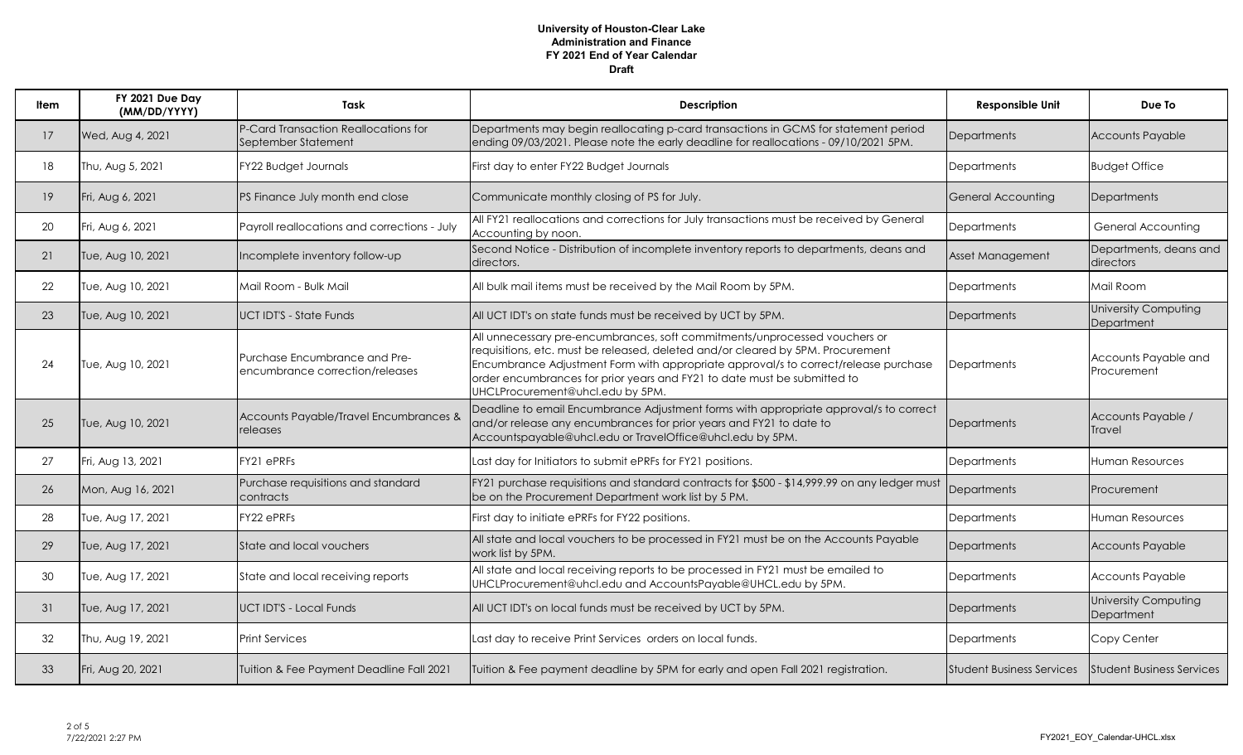| ltem            | FY 2021 Due Day<br>(MM/DD/YYYY) | Task                                                             | <b>Description</b>                                                                                                                                                                                                                                                                                                                                                   | <b>Responsible Unit</b>          | Due To                              |
|-----------------|---------------------------------|------------------------------------------------------------------|----------------------------------------------------------------------------------------------------------------------------------------------------------------------------------------------------------------------------------------------------------------------------------------------------------------------------------------------------------------------|----------------------------------|-------------------------------------|
| 17              | Wed, Aug 4, 2021                | P-Card Transaction Reallocations for<br>September Statement      | Departments may begin reallocating p-card transactions in GCMS for statement period<br>ending 09/03/2021. Please note the early deadline for reallocations - 09/10/2021 5PM.                                                                                                                                                                                         | Departments                      | <b>Accounts Payable</b>             |
| 18              | Thu, Aug 5, 2021                | FY22 Budget Journals                                             | First day to enter FY22 Budget Journals                                                                                                                                                                                                                                                                                                                              | Departments                      | <b>Budget Office</b>                |
| 19 <sup>°</sup> | Fri, Aug 6, 2021                | PS Finance July month end close                                  | Communicate monthly closing of PS for July.                                                                                                                                                                                                                                                                                                                          | <b>General Accounting</b>        | <b>Departments</b>                  |
| 20              | Fri, Aug 6, 2021                | Payroll reallocations and corrections - July                     | All FY21 reallocations and corrections for July transactions must be received by General<br>Accounting by noon.                                                                                                                                                                                                                                                      | <b>Departments</b>               | General Accounting                  |
| 21              | Tue, Aug 10, 2021               | Incomplete inventory follow-up                                   | Second Notice - Distribution of incomplete inventory reports to departments, deans and<br>directors.                                                                                                                                                                                                                                                                 | Asset Management                 | Departments, deans and<br>directors |
| 22              | Tue, Aug 10, 2021               | Mail Room - Bulk Mail                                            | All bulk mail items must be received by the Mail Room by 5PM.                                                                                                                                                                                                                                                                                                        | <b>Departments</b>               | Mail Room                           |
| 23              | Tue, Aug 10, 2021               | <b>UCTIDT'S - State Funds</b>                                    | All UCT IDT's on state funds must be received by UCT by 5PM.                                                                                                                                                                                                                                                                                                         | Departments                      | University Computing<br>Department  |
| 24              | Tue, Aug 10, 2021               | Purchase Encumbrance and Pre-<br>encumbrance correction/releases | All unnecessary pre-encumbrances, soft commitments/unprocessed vouchers or<br>requisitions, etc. must be released, deleted and/or cleared by 5PM. Procurement<br>Encumbrance Adjustment Form with appropriate approval/s to correct/release purchase<br>order encumbrances for prior years and FY21 to date must be submitted to<br>UHCLProcurement@uhcl.edu by 5PM. | <b>Departments</b>               | Accounts Payable and<br>Procurement |
| 25              | Tue, Aug 10, 2021               | Accounts Payable/Travel Encumbrances &<br>releases               | Deadline to email Encumbrance Adjustment forms with appropriate approval/s to correct<br>and/or release any encumbrances for prior years and FY21 to date to<br>Accountspayable@uhcl.edu or TravelOffice@uhcl.edu by 5PM.                                                                                                                                            | Departments                      | Accounts Payable /<br>Travel        |
| 27              | Fri, Aug 13, 2021               | FY21 ePRFs                                                       | Last day for Initiators to submit ePRFs for FY21 positions.                                                                                                                                                                                                                                                                                                          | <b>Departments</b>               | Human Resources                     |
| 26              | Mon, Aug 16, 2021               | Purchase requisitions and standard<br>contracts                  | FY21 purchase requisitions and standard contracts for \$500 - \$14,999.99 on any ledger must<br>be on the Procurement Department work list by 5 PM.                                                                                                                                                                                                                  | <b>Departments</b>               | Procurement                         |
| 28              | Tue, Aug 17, 2021               | FY22 ePRFs                                                       | First day to initiate ePRFs for FY22 positions.                                                                                                                                                                                                                                                                                                                      | Departments                      | <b>Human Resources</b>              |
| 29              | Tue, Aug 17, 2021               | State and local vouchers                                         | All state and local vouchers to be processed in FY21 must be on the Accounts Payable<br>work list by 5PM.                                                                                                                                                                                                                                                            | Departments                      | <b>Accounts Payable</b>             |
| 30              | Tue, Aug 17, 2021               | State and local receiving reports                                | All state and local receiving reports to be processed in FY21 must be emailed to<br>UHCLProcurement@uhcl.edu and AccountsPayable@UHCL.edu by 5PM.                                                                                                                                                                                                                    | <b>Departments</b>               | Accounts Payable                    |
| 31              | Tue, Aug 17, 2021               | <b>UCT IDT'S - Local Funds</b>                                   | All UCT IDT's on local funds must be received by UCT by 5PM.                                                                                                                                                                                                                                                                                                         | Departments                      | University Computing<br>Department  |
| 32              | Thu, Aug 19, 2021               | Print Services                                                   | Last day to receive Print Services orders on local funds.                                                                                                                                                                                                                                                                                                            | Departments                      | Copy Center                         |
| 33              | Fri, Aug 20, 2021               | Tuition & Fee Payment Deadline Fall 2021                         | Tuition & Fee payment deadline by 5PM for early and open Fall 2021 registration.                                                                                                                                                                                                                                                                                     | <b>Student Business Services</b> | <b>Student Business Services</b>    |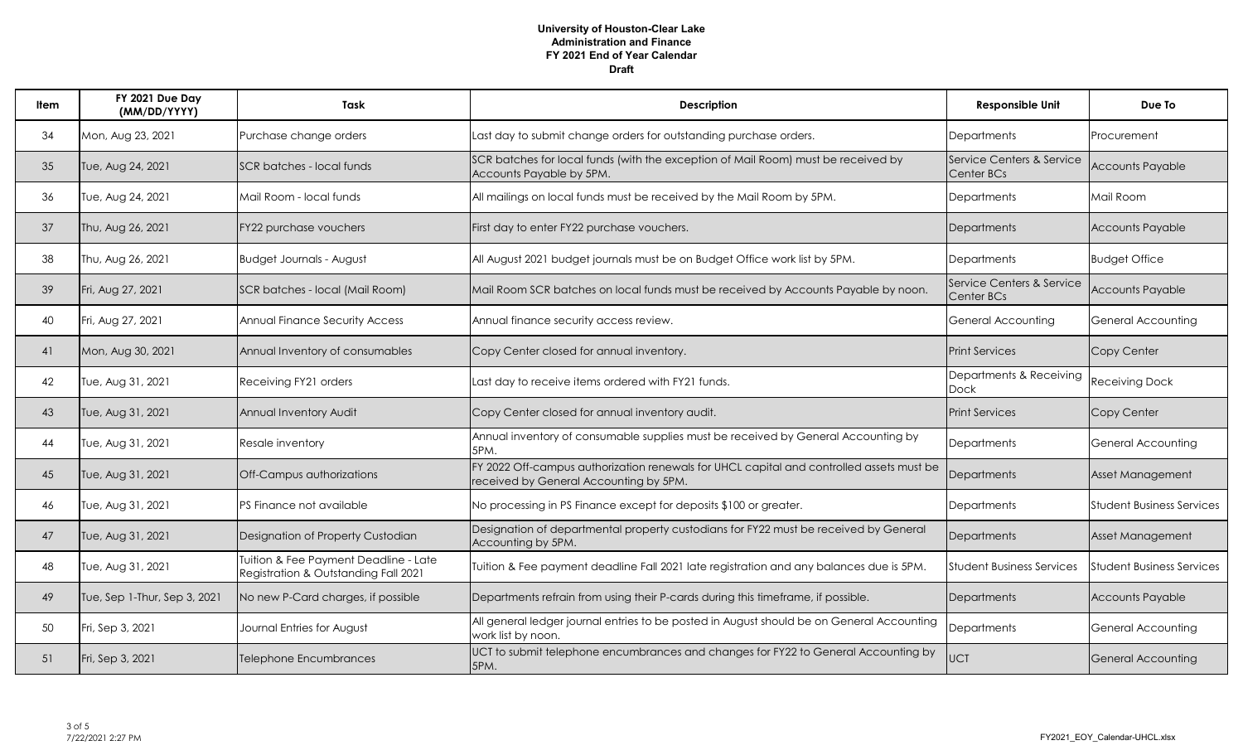| ltem | FY 2021 Due Day<br>(MM/DD/YYYY) | Task                                                                          | Description                                                                                                                        | <b>Responsible Unit</b>                 | Due To                           |
|------|---------------------------------|-------------------------------------------------------------------------------|------------------------------------------------------------------------------------------------------------------------------------|-----------------------------------------|----------------------------------|
| 34   | Mon, Aug 23, 2021               | Purchase change orders                                                        | Last day to submit change orders for outstanding purchase orders.                                                                  | <b>Departments</b>                      | Procurement                      |
| 35   | Tue, Aug 24, 2021               | SCR batches - local funds                                                     | SCR batches for local funds (with the exception of Mail Room) must be received by<br>Accounts Payable by 5PM.                      | Service Centers & Service<br>Center BCs | <b>Accounts Payable</b>          |
| 36   | Tue, Aug 24, 2021               | Mail Room - local funds                                                       | All mailings on local funds must be received by the Mail Room by 5PM.                                                              | <b>Departments</b>                      | Mail Room                        |
| 37   | Thu, Aug 26, 2021               | FY22 purchase vouchers                                                        | First day to enter FY22 purchase vouchers.                                                                                         | Departments                             | <b>Accounts Payable</b>          |
| 38   | Thu, Aug 26, 2021               | <b>Budget Journals - August</b>                                               | All August 2021 budget journals must be on Budget Office work list by 5PM.                                                         | <b>Departments</b>                      | <b>Budget Office</b>             |
| 39   | Fri, Aug 27, 2021               | SCR batches - local (Mail Room)                                               | Mail Room SCR batches on local funds must be received by Accounts Payable by noon.                                                 | Service Centers & Service<br>Center BCs | <b>Accounts Payable</b>          |
| 40   | Fri, Aug 27, 2021               | Annual Finance Security Access                                                | Annual finance security access review.                                                                                             | General Accounting                      | General Accounting               |
| 41   | Mon, Aug 30, 2021               | Annual Inventory of consumables                                               | Copy Center closed for annual inventory.                                                                                           | <b>Print Services</b>                   | Copy Center                      |
| 42   | Tue, Aug 31, 2021               | Receiving FY21 orders                                                         | Last day to receive items ordered with FY21 funds.                                                                                 | Departments & Receiving<br>Dock         | Receiving Dock                   |
| 43   | Tue, Aug 31, 2021               | Annual Inventory Audit                                                        | Copy Center closed for annual inventory audit.                                                                                     | <b>Print Services</b>                   | Copy Center                      |
| 44   | Tue, Aug 31, 2021               | Resale inventory                                                              | Annual inventory of consumable supplies must be received by General Accounting by<br>5PM.                                          | <b>Departments</b>                      | <b>General Accounting</b>        |
| 45   | Tue, Aug 31, 2021               | Off-Campus authorizations                                                     | FY 2022 Off-campus authorization renewals for UHCL capital and controlled assets must be<br>received by General Accounting by 5PM. | <b>Departments</b>                      | Asset Management                 |
| 46   | Tue, Aug 31, 2021               | PS Finance not available                                                      | No processing in PS Finance except for deposits \$100 or greater.                                                                  | Departments                             | <b>Student Business Services</b> |
| 47   | Tue, Aug 31, 2021               | Designation of Property Custodian                                             | Designation of departmental property custodians for FY22 must be received by General<br>Accounting by 5PM.                         | Departments                             | Asset Management                 |
| 48   | Tue, Aug 31, 2021               | Tuition & Fee Payment Deadline - Late<br>Registration & Outstanding Fall 2021 | Tuition & Fee payment deadline Fall 2021 late registration and any balances due is 5PM.                                            | <b>Student Business Services</b>        | Student Business Services        |
| 49   | Tue, Sep 1-Thur, Sep 3, 2021    | No new P-Card charges, if possible                                            | Departments refrain from using their P-cards during this timeframe, if possible.                                                   | Departments                             | <b>Accounts Payable</b>          |
| 50   | Fri, Sep 3, 2021                | Journal Entries for August                                                    | All general ledger journal entries to be posted in August should be on General Accounting<br>work list by noon.                    | Departments                             | <b>General Accounting</b>        |
| 51   | Fri, Sep 3, 2021                | <b>Telephone Encumbrances</b>                                                 | UCT to submit telephone encumbrances and changes for FY22 to General Accounting by<br>5PM.                                         | <b>UCT</b>                              | <b>General Accounting</b>        |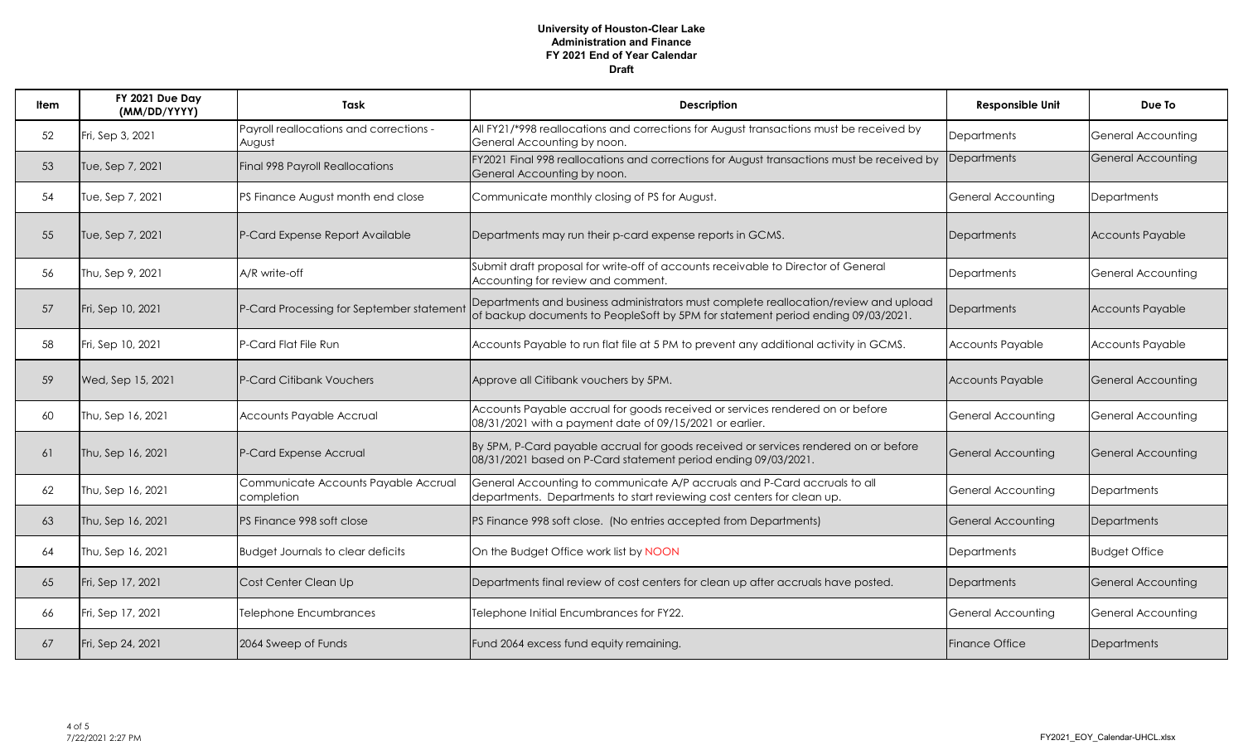| Item | FY 2021 Due Day<br>(MM/DD/YYYY) | Task                                               | <b>Description</b>                                                                                                                                                       | <b>Responsible Unit</b>   | Due To                    |
|------|---------------------------------|----------------------------------------------------|--------------------------------------------------------------------------------------------------------------------------------------------------------------------------|---------------------------|---------------------------|
| 52   | Fri, Sep 3, 2021                | Payroll reallocations and corrections -<br>August  | All FY21/*998 reallocations and corrections for August transactions must be received by<br>General Accounting by noon.                                                   | Departments               | <b>General Accounting</b> |
| 53   | Tue, Sep 7, 2021                | Final 998 Payroll Reallocations                    | FY2021 Final 998 reallocations and corrections for August transactions must be received by<br>General Accounting by noon.                                                | Departments               | General Accounting        |
| 54   | Tue, Sep 7, 2021                | PS Finance August month end close                  | Communicate monthly closing of PS for August.                                                                                                                            | <b>General Accounting</b> | <b>Departments</b>        |
| 55   | Tue, Sep 7, 2021                | P-Card Expense Report Available                    | Departments may run their p-card expense reports in GCMS.                                                                                                                | Departments               | <b>Accounts Payable</b>   |
| 56   | Thu, Sep 9, 2021                | A/R write-off                                      | Submit draft proposal for write-off of accounts receivable to Director of General<br>Accounting for review and comment.                                                  | Departments               | <b>General Accounting</b> |
| 57   | Fri, Sep 10, 2021               | P-Card Processing for September statemen           | Departments and business administrators must complete reallocation/review and upload<br>of backup documents to PeopleSoft by 5PM for statement period ending 09/03/2021. | Departments               | <b>Accounts Payable</b>   |
| 58   | Fri, Sep 10, 2021               | P-Card Flat File Run                               | Accounts Payable to run flat file at 5 PM to prevent any additional activity in GCMS.                                                                                    | <b>Accounts Payable</b>   | <b>Accounts Payable</b>   |
| 59   | Wed, Sep 15, 2021               | P-Card Citibank Vouchers                           | Approve all Citibank vouchers by 5PM.                                                                                                                                    | <b>Accounts Payable</b>   | General Accounting        |
| 60   | Thu, Sep 16, 2021               | Accounts Payable Accrual                           | Accounts Payable accrual for goods received or services rendered on or before<br>08/31/2021 with a payment date of 09/15/2021 or earlier.                                | <b>General Accounting</b> | <b>General Accounting</b> |
| 61   | Thu, Sep 16, 2021               | P-Card Expense Accrual                             | By 5PM, P-Card payable accrual for goods received or services rendered on or before<br>08/31/2021 based on P-Card statement period ending 09/03/2021.                    | General Accounting        | General Accounting        |
| 62   | Thu, Sep 16, 2021               | Communicate Accounts Payable Accrual<br>completion | General Accounting to communicate A/P accruals and P-Card accruals to all<br>departments. Departments to start reviewing cost centers for clean up.                      | <b>General Accounting</b> | <b>Departments</b>        |
| 63   | Thu, Sep 16, 2021               | PS Finance 998 soft close                          | PS Finance 998 soft close. (No entries accepted from Departments)                                                                                                        | <b>General Accounting</b> | Departments               |
| 64   | Thu, Sep 16, 2021               | <b>Budget Journals to clear deficits</b>           | On the Budget Office work list by NOON                                                                                                                                   | Departments               | <b>Budget Office</b>      |
| 65   | Fri, Sep 17, 2021               | Cost Center Clean Up                               | Departments final review of cost centers for clean up after accruals have posted.                                                                                        | Departments               | General Accounting        |
| 66   | Fri, Sep 17, 2021               | Telephone Encumbrances                             | Telephone Initial Encumbrances for FY22.                                                                                                                                 | General Accounting        | General Accounting        |
| 67   | Fri, Sep 24, 2021               | 2064 Sweep of Funds                                | Fund 2064 excess fund equity remaining.                                                                                                                                  | <b>Finance Office</b>     | Departments               |